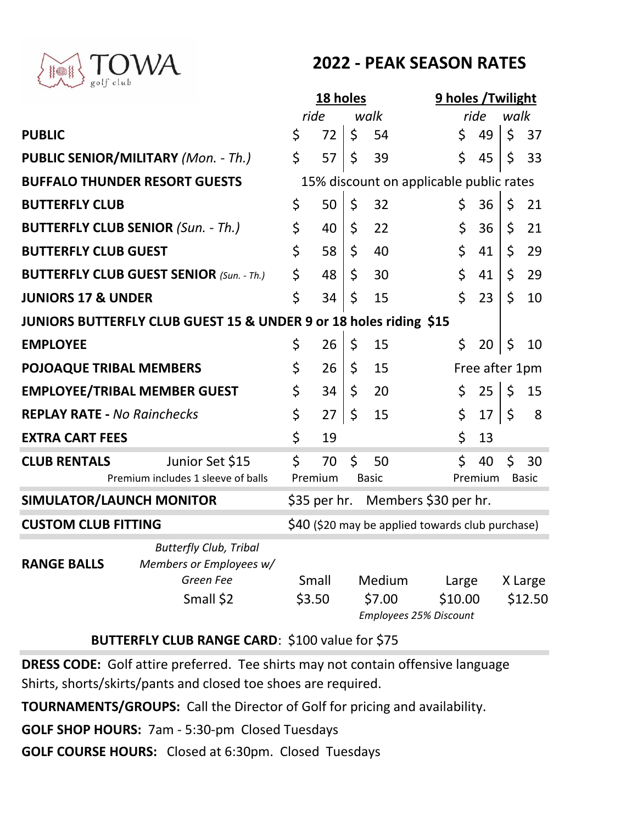

# **2022 - PEAK SEASON RATES**

|                                                                   |                                                          |                                         | 18 holes                                         |         |        |                                              | 9 holes / Twilight |    |             |         |  |
|-------------------------------------------------------------------|----------------------------------------------------------|-----------------------------------------|--------------------------------------------------|---------|--------|----------------------------------------------|--------------------|----|-------------|---------|--|
|                                                                   |                                                          | ride                                    |                                                  |         | walk   |                                              | ride               |    | walk        |         |  |
| <b>PUBLIC</b>                                                     |                                                          | \$                                      | 72                                               | \$      | 54     |                                              | \$                 | 49 | \$          | 37      |  |
| <b>PUBLIC SENIOR/MILITARY (Mon. - Th.)</b>                        |                                                          | \$                                      | 57                                               | \$      | 39     |                                              | \$                 | 45 | \$          | 33      |  |
| <b>BUFFALO THUNDER RESORT GUESTS</b>                              |                                                          | 15% discount on applicable public rates |                                                  |         |        |                                              |                    |    |             |         |  |
| <b>BUTTERFLY CLUB</b>                                             |                                                          | \$                                      | 50                                               | \$      | 32     |                                              | \$                 | 36 | \$          | 21      |  |
| <b>BUTTERFLY CLUB SENIOR (Sun. - Th.)</b>                         |                                                          | \$                                      | 40                                               | \$      | 22     |                                              | \$                 | 36 | \$          | 21      |  |
| <b>BUTTERFLY CLUB GUEST</b>                                       |                                                          | \$                                      | 58                                               | \$      | 40     |                                              | \$                 | 41 | \$          | 29      |  |
| <b>BUTTERFLY CLUB GUEST SENIOR (Sun. - Th.)</b>                   |                                                          | \$                                      | 48                                               | \$      | 30     |                                              | \$                 | 41 | \$          | 29      |  |
| <b>JUNIORS 17 &amp; UNDER</b>                                     |                                                          | \$                                      | 34                                               | \$      | 15     |                                              | \$                 | 23 | \$          | 10      |  |
| JUNIORS BUTTERFLY CLUB GUEST 15 & UNDER 9 or 18 holes riding \$15 |                                                          |                                         |                                                  |         |        |                                              |                    |    |             |         |  |
| <b>EMPLOYEE</b>                                                   |                                                          | \$                                      | 26                                               | \$      | 15     |                                              | \$                 | 20 | \$          | 10      |  |
| <b>POJOAQUE TRIBAL MEMBERS</b>                                    |                                                          | \$                                      | 26                                               | \$      | 15     |                                              | Free after 1pm     |    |             |         |  |
| <b>EMPLOYEE/TRIBAL MEMBER GUEST</b>                               |                                                          | \$                                      | 34                                               | $\zeta$ | 20     |                                              | \$                 | 25 | $\zeta$     | 15      |  |
| <b>REPLAY RATE - No Rainchecks</b>                                |                                                          | \$                                      | 27                                               | \$      | 15     |                                              | \$                 | 17 | $\varsigma$ | 8       |  |
| <b>EXTRA CART FEES</b>                                            |                                                          | \$                                      | 19                                               |         |        |                                              | \$                 | 13 |             |         |  |
| <b>CLUB RENTALS</b>                                               | Junior Set \$15                                          | \$                                      | 70                                               | \$      | 50     |                                              | \$                 | 40 | \$          | 30      |  |
|                                                                   | Premium includes 1 sleeve of balls                       | Premium<br><b>Basic</b>                 |                                                  |         |        | Premium<br><b>Basic</b>                      |                    |    |             |         |  |
| <b>SIMULATOR/LAUNCH MONITOR</b>                                   |                                                          |                                         |                                                  |         |        | \$35 per hr. Members \$30 per hr.            |                    |    |             |         |  |
| <b>CUSTOM CLUB FITTING</b>                                        |                                                          |                                         | \$40 (\$20 may be applied towards club purchase) |         |        |                                              |                    |    |             |         |  |
| <b>RANGE BALLS</b>                                                | <b>Butterfly Club, Tribal</b><br>Members or Employees w/ |                                         |                                                  |         |        |                                              |                    |    |             |         |  |
|                                                                   | Green Fee                                                |                                         | Small                                            |         | Medium |                                              | Large              |    |             | X Large |  |
|                                                                   | Small \$2                                                | \$3.50                                  |                                                  |         | \$7.00 | \$12.50<br>\$10.00<br>Employees 25% Discount |                    |    |             |         |  |

# **BUTTERFLY CLUB RANGE CARD**: \$100 value for \$75

**DRESS CODE:** Golf attire preferred. Tee shirts may not contain offensive language Shirts, shorts/skirts/pants and closed toe shoes are required.

**TOURNAMENTS/GROUPS:** Call the Director of Golf for pricing and availability.

**GOLF SHOP HOURS:** 7am - 5:30-pm Closed Tuesdays

**GOLF COURSE HOURS:** Closed at 6:30pm. Closed Tuesdays